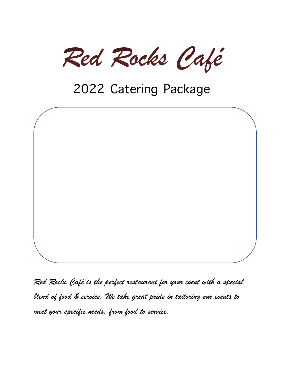Red Rocks Café

# 2022 Catering Package



*Red Rocks Café is the perfect restaurant for your event with a special blend of food & service. We take great pride in tailoring our events to meet your specific needs, from food to service.*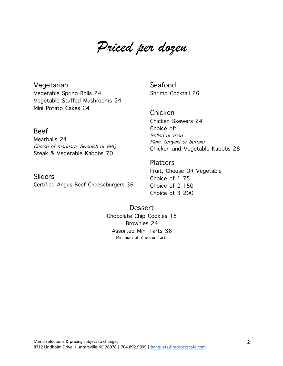# *Priced per dozen*

Vegetarian Vegetable Spring Rolls 24 Vegetable Stuffed Mushrooms 24 Mini Potato Cakes 24

Beef

Meatballs 24 Choice of marinara, Swedish or BBQ Steak & Vegetable Kabobs 70

**Sliders** Certified Angus Beef Cheeseburgers 36 Seafood Shrimp Cocktail 26

Chicken Chicken Skewers 24 Choice of: Grilled or fried Plain, teriyaki or buffalo Chicken and Vegetable Kabobs 28

### **Platters**

Fruit, Cheese OR Vegetable Choice of 1 75 Choice of 2 150 Choice of 3 200

**Dessert** Chocolate Chip Cookies 18 Brownies 24 Assorted Mini Tarts 36 Minimum of 2 dozen tarts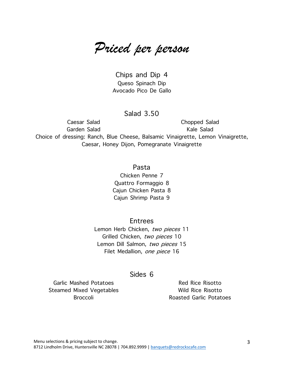*Priced per person*

Chips and Dip 4 Queso Spinach Dip Avocado Pico De Gallo

## Salad 3.50

Caesar Salad Garden Salad Chopped Salad Kale Salad Choice of dressing: Ranch, Blue Cheese, Balsamic Vinaigrette, Lemon Vinaigrette, Caesar, Honey Dijon, Pomegranate Vinaigrette

> Pasta Chicken Penne 7 Quattro Formaggio 8 Cajun Chicken Pasta 8 Cajun Shrimp Pasta 9

**Entrees** Lemon Herb Chicken, two pieces 11

Grilled Chicken, two pieces 10 Lemon Dill Salmon, two pieces 15 Filet Medallion, one piece 16

#### Sides 6

Garlic Mashed Potatoes Steamed Mixed Vegetables Broccoli

Red Rice Risotto Wild Rice Risotto Roasted Garlic Potatoes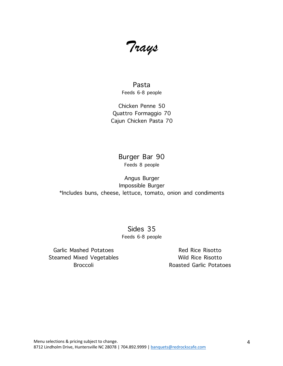*Trays* 

Pasta Feeds 6-8 people

Chicken Penne 50 Quattro Formaggio 70 Cajun Chicken Pasta 70

### Burger Bar 90 Feeds 8 people

Angus Burger Impossible Burger \*Includes buns, cheese, lettuce, tomato, onion and condiments

> Sides 35 Feeds 6-8 people

Garlic Mashed Potatoes Steamed Mixed Vegetables Broccoli

Red Rice Risotto Wild Rice Risotto Roasted Garlic Potatoes